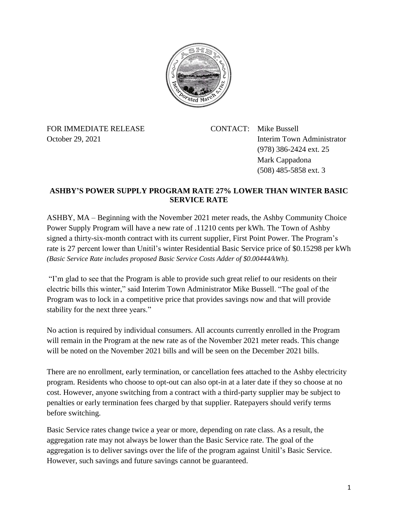

FOR IMMEDIATE RELEASE CONTACT: Mike Bussell

October 29, 2021 Interim Town Administrator (978) 386-2424 ext. 25 Mark Cappadona (508) 485-5858 ext. 3

## **ASHBY'S POWER SUPPLY PROGRAM RATE 27% LOWER THAN WINTER BASIC SERVICE RATE**

ASHBY, MA – Beginning with the November 2021 meter reads, the Ashby Community Choice Power Supply Program will have a new rate of .11210 cents per kWh. The Town of Ashby signed a thirty-six-month contract with its current supplier, First Point Power. The Program's rate is 27 percent lower than Unitil's winter Residential Basic Service price of \$0.15298 per kWh *(Basic Service Rate includes proposed Basic Service Costs Adder of \$0.00444/kWh).*

"I'm glad to see that the Program is able to provide such great relief to our residents on their electric bills this winter," said Interim Town Administrator Mike Bussell. "The goal of the Program was to lock in a competitive price that provides savings now and that will provide stability for the next three years."

No action is required by individual consumers. All accounts currently enrolled in the Program will remain in the Program at the new rate as of the November 2021 meter reads. This change will be noted on the November 2021 bills and will be seen on the December 2021 bills.

There are no enrollment, early termination, or cancellation fees attached to the Ashby electricity program. Residents who choose to opt-out can also opt-in at a later date if they so choose at no cost. However, anyone switching from a contract with a third-party supplier may be subject to penalties or early termination fees charged by that supplier. Ratepayers should verify terms before switching.

Basic Service rates change twice a year or more, depending on rate class. As a result, the aggregation rate may not always be lower than the Basic Service rate. The goal of the aggregation is to deliver savings over the life of the program against Unitil's Basic Service. However, such savings and future savings cannot be guaranteed.